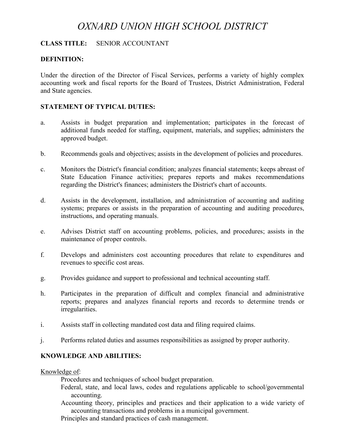# *OXNARD UNION HIGH SCHOOL DISTRICT*

### **CLASS TITLE:** SENIOR ACCOUNTANT

#### **DEFINITION:**

Under the direction of the Director of Fiscal Services, performs a variety of highly complex accounting work and fiscal reports for the Board of Trustees, District Administration, Federal and State agencies.

#### **STATEMENT OF TYPICAL DUTIES:**

- a. Assists in budget preparation and implementation; participates in the forecast of additional funds needed for staffing, equipment, materials, and supplies; administers the approved budget.
- b. Recommends goals and objectives; assists in the development of policies and procedures.
- c. Monitors the District's financial condition; analyzes financial statements; keeps abreast of State Education Finance activities; prepares reports and makes recommendations regarding the District's finances; administers the District's chart of accounts.
- d. Assists in the development, installation, and administration of accounting and auditing systems; prepares or assists in the preparation of accounting and auditing procedures, instructions, and operating manuals.
- e. Advises District staff on accounting problems, policies, and procedures; assists in the maintenance of proper controls.
- f. Develops and administers cost accounting procedures that relate to expenditures and revenues to specific cost areas.
- g. Provides guidance and support to professional and technical accounting staff.
- h. Participates in the preparation of difficult and complex financial and administrative reports; prepares and analyzes financial reports and records to determine trends or irregularities.
- i. Assists staff in collecting mandated cost data and filing required claims.
- j. Performs related duties and assumes responsibilities as assigned by proper authority.

#### **KNOWLEDGE AND ABILITIES:**

#### Knowledge of:

Procedures and techniques of school budget preparation.

- Federal, state, and local laws, codes and regulations applicable to school/governmental accounting.
- Accounting theory, principles and practices and their application to a wide variety of accounting transactions and problems in a municipal government.
- Principles and standard practices of cash management.